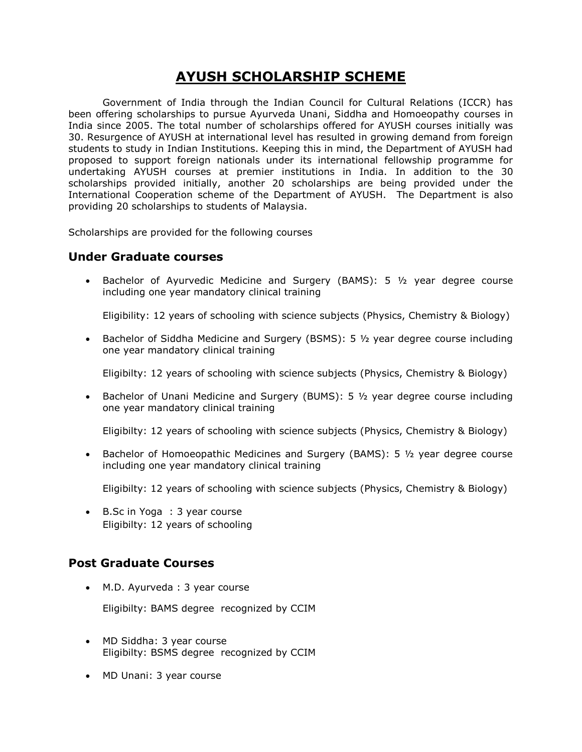# **AYUSH SCHOLARSHIP SCHEME**

Government of India through the Indian Council for Cultural Relations (ICCR) has been offering scholarships to pursue Ayurveda Unani, Siddha and Homoeopathy courses in India since 2005. The total number of scholarships offered for AYUSH courses initially was 30. Resurgence of AYUSH at international level has resulted in growing demand from foreign students to study in Indian Institutions. Keeping this in mind, the Department of AYUSH had proposed to support foreign nationals under its international fellowship programme for undertaking AYUSH courses at premier institutions in India. In addition to the 30 scholarships provided initially, another 20 scholarships are being provided under the International Cooperation scheme of the Department of AYUSH. The Department is also providing 20 scholarships to students of Malaysia.

Scholarships are provided for the following courses

#### **Under Graduate courses**

**Bachelor of Ayurvedic Medicine and Surgery (BAMS): 5**  $1/2$  **year degree course** including one year mandatory clinical training

Eligibility: 12 years of schooling with science subjects (Physics, Chemistry & Biology)

**Bachelor of Siddha Medicine and Surgery (BSMS): 5**  $\frac{1}{2}$  **year degree course including** one year mandatory clinical training

Eligibilty: 12 years of schooling with science subjects (Physics, Chemistry & Biology)

• Bachelor of Unani Medicine and Surgery (BUMS): 5 1/2 year degree course including one year mandatory clinical training

Eligibilty: 12 years of schooling with science subjects (Physics, Chemistry & Biology)

• Bachelor of Homoeopathic Medicines and Surgery (BAMS): 5 1/2 year degree course including one year mandatory clinical training

Eligibilty: 12 years of schooling with science subjects (Physics, Chemistry & Biology)

 B.Sc in Yoga : 3 year course Eligibilty: 12 years of schooling

## **Post Graduate Courses**

M.D. Ayurveda : 3 year course

Eligibilty: BAMS degree recognized by CCIM

- MD Siddha: 3 year course Eligibilty: BSMS degree recognized by CCIM
- MD Unani: 3 year course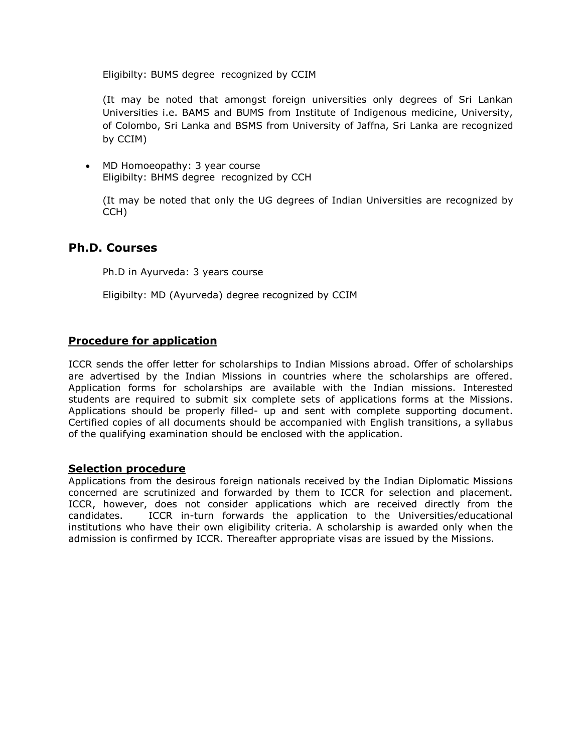Eligibilty: BUMS degree recognized by CCIM

(It may be noted that amongst foreign universities only degrees of Sri Lankan Universities i.e. BAMS and BUMS from Institute of Indigenous medicine, University, of Colombo, Sri Lanka and BSMS from University of Jaffna, Sri Lanka are recognized by CCIM)

• MD Homoeopathy: 3 year course Eligibilty: BHMS degree recognized by CCH

(It may be noted that only the UG degrees of Indian Universities are recognized by CCH)

#### **Ph.D. Courses**

Ph.D in Ayurveda: 3 years course

Eligibilty: MD (Ayurveda) degree recognized by CCIM

#### **Procedure for application**

ICCR sends the offer letter for scholarships to Indian Missions abroad. Offer of scholarships are advertised by the Indian Missions in countries where the scholarships are offered. Application forms for scholarships are available with the Indian missions. Interested students are required to submit six complete sets of applications forms at the Missions. Applications should be properly filled- up and sent with complete supporting document. Certified copies of all documents should be accompanied with English transitions, a syllabus of the qualifying examination should be enclosed with the application.

#### **Selection procedure**

Applications from the desirous foreign nationals received by the Indian Diplomatic Missions concerned are scrutinized and forwarded by them to ICCR for selection and placement. ICCR, however, does not consider applications which are received directly from the candidates. ICCR in-turn forwards the application to the Universities/educational institutions who have their own eligibility criteria. A scholarship is awarded only when the admission is confirmed by ICCR. Thereafter appropriate visas are issued by the Missions.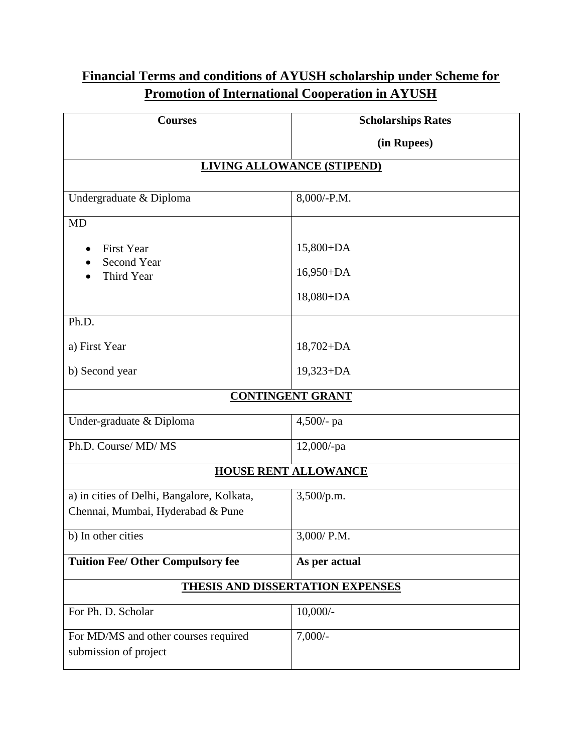# **Financial Terms and conditions of AYUSH scholarship under Scheme for Promotion of International Cooperation in AYUSH**

| <b>Courses</b>                                                | <b>Scholarships Rates</b> |
|---------------------------------------------------------------|---------------------------|
|                                                               | (in Rupees)               |
| <b>LIVING ALLOWANCE (STIPEND)</b>                             |                           |
|                                                               |                           |
| Undergraduate & Diploma                                       | 8,000/-P.M.               |
| <b>MD</b>                                                     |                           |
| <b>First Year</b>                                             | $15,800+DA$               |
| <b>Second Year</b><br>Third Year                              | $16,950+DA$               |
|                                                               | $18,080+DA$               |
| Ph.D.                                                         |                           |
| a) First Year                                                 | $18,702 + DA$             |
| b) Second year                                                | $19,323+DA$               |
| <b>CONTINGENT GRANT</b>                                       |                           |
| Under-graduate & Diploma                                      | 4,500/- pa                |
| Ph.D. Course/ MD/ MS                                          | $12,000$ /-pa             |
| <b>HOUSE RENT ALLOWANCE</b>                                   |                           |
| a) in cities of Delhi, Bangalore, Kolkata,                    | 3,500/p.m.                |
| Chennai, Mumbai, Hyderabad & Pune                             |                           |
| b) In other cities                                            | 3,000/ P.M.               |
| <b>Tuition Fee/ Other Compulsory fee</b>                      | As per actual             |
| <b>THESIS AND DISSERTATION EXPENSES</b>                       |                           |
| For Ph. D. Scholar                                            | $10,000/$ -               |
| For MD/MS and other courses required<br>submission of project | $7,000/-$                 |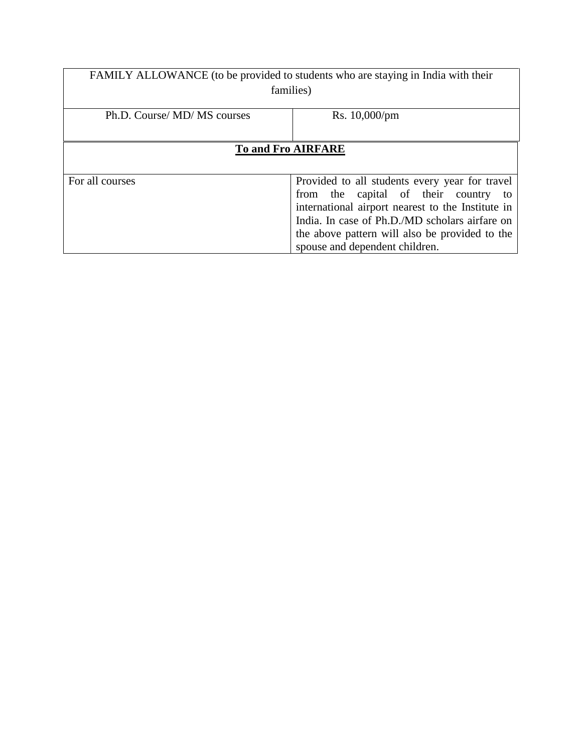| FAMILY ALLOWANCE (to be provided to students who are staying in India with their |                                                                                                                                                                                                                                                                                      |
|----------------------------------------------------------------------------------|--------------------------------------------------------------------------------------------------------------------------------------------------------------------------------------------------------------------------------------------------------------------------------------|
| families)                                                                        |                                                                                                                                                                                                                                                                                      |
| Ph.D. Course/ MD/ MS courses                                                     | Rs. 10,000/pm                                                                                                                                                                                                                                                                        |
| <b>To and Fro AIRFARE</b>                                                        |                                                                                                                                                                                                                                                                                      |
| For all courses                                                                  | Provided to all students every year for travel<br>from the capital of their country<br>to<br>international airport nearest to the Institute in<br>India. In case of Ph.D./MD scholars airfare on<br>the above pattern will also be provided to the<br>spouse and dependent children. |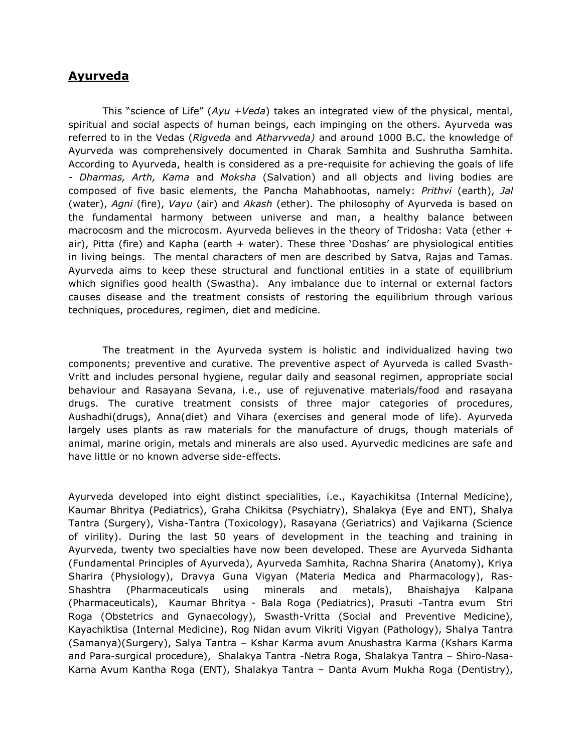#### **Ayurveda**

This "science of Life" (*Ayu* +*Veda*) takes an integrated view of the physical, mental, spiritual and social aspects of human beings, each impinging on the others. Ayurveda was referred to in the Vedas (*Rigveda* and *Atharvveda)* and around 1000 B.C. the knowledge of Ayurveda was comprehensively documented in Charak Samhita and Sushrutha Samhita. According to Ayurveda, health is considered as a pre-requisite for achieving the goals of life - *Dharmas, Arth, Kama* and *Moksha* (Salvation) and all objects and living bodies are composed of five basic elements, the Pancha Mahabhootas, namely: *Prithvi* (earth), *Jal* (water), *Agni* (fire), *Vayu* (air) and *Akash* (ether). The philosophy of Ayurveda is based on the fundamental harmony between universe and man, a healthy balance between macrocosm and the microcosm. Ayurveda believes in the theory of Tridosha: Vata (ether + air), Pitta (fire) and Kapha (earth  $+$  water). These three 'Doshas' are physiological entities in living beings. The mental characters of men are described by Satva, Rajas and Tamas. Ayurveda aims to keep these structural and functional entities in a state of equilibrium which signifies good health (Swastha). Any imbalance due to internal or external factors causes disease and the treatment consists of restoring the equilibrium through various techniques, procedures, regimen, diet and medicine.

The treatment in the Ayurveda system is holistic and individualized having two components; preventive and curative. The preventive aspect of Ayurveda is called Svasth-Vritt and includes personal hygiene, regular daily and seasonal regimen, appropriate social behaviour and Rasayana Sevana, i.e., use of rejuvenative materials/food and rasayana drugs. The curative treatment consists of three major categories of procedures, Aushadhi(drugs), Anna(diet) and Vihara (exercises and general mode of life). Ayurveda largely uses plants as raw materials for the manufacture of drugs, though materials of animal, marine origin, metals and minerals are also used. Ayurvedic medicines are safe and have little or no known adverse side-effects.

Ayurveda developed into eight distinct specialities, i.e., Kayachikitsa (Internal Medicine), Kaumar Bhritya (Pediatrics), Graha Chikitsa (Psychiatry), Shalakya (Eye and ENT), Shalya Tantra (Surgery), Visha-Tantra (Toxicology), Rasayana (Geriatrics) and Vajikarna (Science of virility). During the last 50 years of development in the teaching and training in Ayurveda, twenty two specialties have now been developed. These are Ayurveda Sidhanta (Fundamental Principles of Ayurveda), Ayurveda Samhita, Rachna Sharira (Anatomy), Kriya Sharira (Physiology), Dravya Guna Vigyan (Materia Medica and Pharmacology), Ras-Shashtra (Pharmaceuticals using minerals and metals), Bhaishajya Kalpana (Pharmaceuticals), Kaumar Bhritya - Bala Roga (Pediatrics), Prasuti -Tantra evum Stri Roga (Obstetrics and Gynaecology), Swasth-Vritta (Social and Preventive Medicine), Kayachiktisa (Internal Medicine), Rog Nidan avum Vikriti Vigyan (Pathology), Shalya Tantra (Samanya)(Surgery), Salya Tantra – Kshar Karma avum Anushastra Karma (Kshars Karma and Para-surgical procedure), Shalakya Tantra -Netra Roga, Shalakya Tantra – Shiro-Nasa-Karna Avum Kantha Roga (ENT), Shalakya Tantra – Danta Avum Mukha Roga (Dentistry),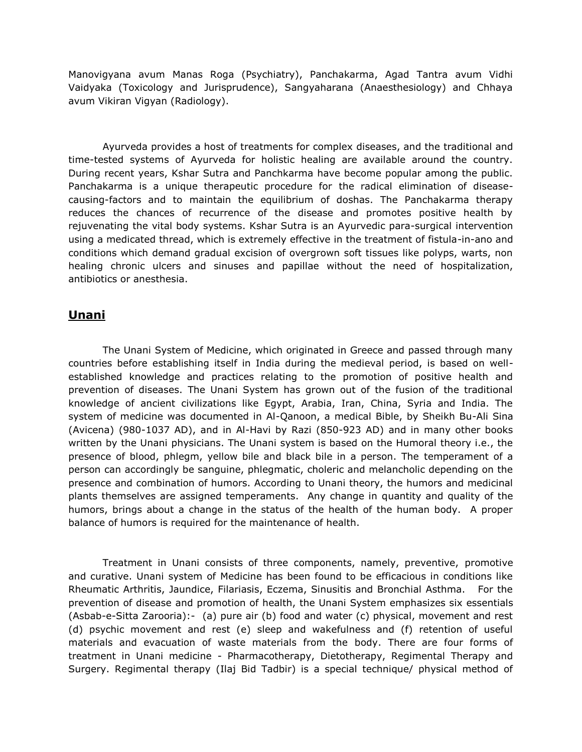Manovigyana avum Manas Roga (Psychiatry), Panchakarma, Agad Tantra avum Vidhi Vaidyaka (Toxicology and Jurisprudence), Sangyaharana (Anaesthesiology) and Chhaya avum Vikiran Vigyan (Radiology).

Ayurveda provides a host of treatments for complex diseases, and the traditional and time-tested systems of Ayurveda for holistic healing are available around the country. During recent years, Kshar Sutra and Panchkarma have become popular among the public. Panchakarma is a unique therapeutic procedure for the radical elimination of diseasecausing-factors and to maintain the equilibrium of doshas. The Panchakarma therapy reduces the chances of recurrence of the disease and promotes positive health by rejuvenating the vital body systems. Kshar Sutra is an Ayurvedic para-surgical intervention using a medicated thread, which is extremely effective in the treatment of fistula-in-ano and conditions which demand gradual excision of overgrown soft tissues like polyps, warts, non healing chronic ulcers and sinuses and papillae without the need of hospitalization, antibiotics or anesthesia.

#### **Unani**

The Unani System of Medicine, which originated in Greece and passed through many countries before establishing itself in India during the medieval period, is based on wellestablished knowledge and practices relating to the promotion of positive health and prevention of diseases. The Unani System has grown out of the fusion of the traditional knowledge of ancient civilizations like Egypt, Arabia, Iran, China, Syria and India. The system of medicine was documented in Al-Qanoon, a medical Bible, by Sheikh Bu-Ali Sina (Avicena) (980-1037 AD), and in Al-Havi by Razi (850-923 AD) and in many other books written by the Unani physicians. The Unani system is based on the Humoral theory i.e., the presence of blood, phlegm, yellow bile and black bile in a person. The temperament of a person can accordingly be sanguine, phlegmatic, choleric and melancholic depending on the presence and combination of humors. According to Unani theory, the humors and medicinal plants themselves are assigned temperaments. Any change in quantity and quality of the humors, brings about a change in the status of the health of the human body. A proper balance of humors is required for the maintenance of health.

Treatment in Unani consists of three components, namely, preventive, promotive and curative. Unani system of Medicine has been found to be efficacious in conditions like Rheumatic Arthritis, Jaundice, Filariasis, Eczema, Sinusitis and Bronchial Asthma. For the prevention of disease and promotion of health, the Unani System emphasizes six essentials (Asbab-e-Sitta Zarooria):- (a) pure air (b) food and water (c) physical, movement and rest (d) psychic movement and rest (e) sleep and wakefulness and (f) retention of useful materials and evacuation of waste materials from the body. There are four forms of treatment in Unani medicine - Pharmacotherapy, Dietotherapy, Regimental Therapy and Surgery. Regimental therapy (Ilaj Bid Tadbir) is a special technique/ physical method of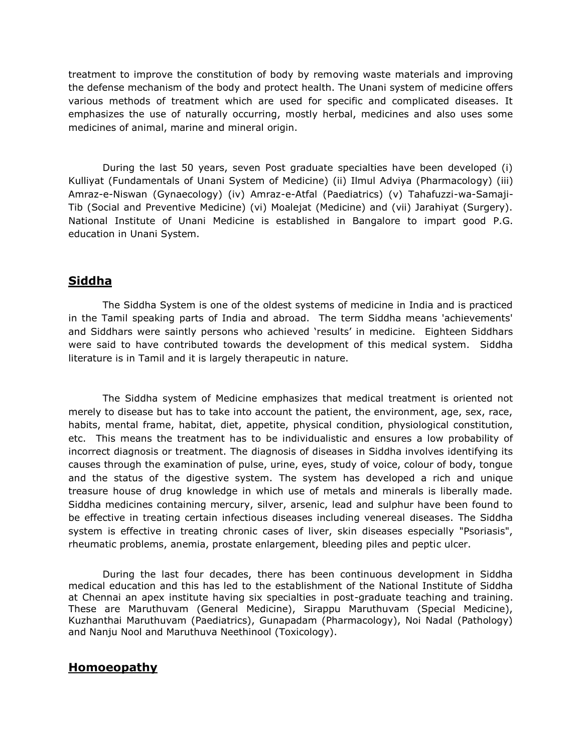treatment to improve the constitution of body by removing waste materials and improving the defense mechanism of the body and protect health. The Unani system of medicine offers various methods of treatment which are used for specific and complicated diseases. It emphasizes the use of naturally occurring, mostly herbal, medicines and also uses some medicines of animal, marine and mineral origin.

During the last 50 years, seven Post graduate specialties have been developed (i) Kulliyat (Fundamentals of Unani System of Medicine) (ii) Ilmul Adviya (Pharmacology) (iii) Amraz-e-Niswan (Gynaecology) (iv) Amraz-e-Atfal (Paediatrics) (v) Tahafuzzi-wa-Samaji-Tib (Social and Preventive Medicine) (vi) Moalejat (Medicine) and (vii) Jarahiyat (Surgery). National Institute of Unani Medicine is established in Bangalore to impart good P.G. education in Unani System.

### **Siddha**

The Siddha System is one of the oldest systems of medicine in India and is practiced in the Tamil speaking parts of India and abroad. The term Siddha means 'achievements' and Siddhars were saintly persons who achieved 'results' in medicine. Eighteen Siddhars were said to have contributed towards the development of this medical system. Siddha literature is in Tamil and it is largely therapeutic in nature.

The Siddha system of Medicine emphasizes that medical treatment is oriented not merely to disease but has to take into account the patient, the environment, age, sex, race, habits, mental frame, habitat, diet, appetite, physical condition, physiological constitution, etc. This means the treatment has to be individualistic and ensures a low probability of incorrect diagnosis or treatment. The diagnosis of diseases in Siddha involves identifying its causes through the examination of pulse, urine, eyes, study of voice, colour of body, tongue and the status of the digestive system. The system has developed a rich and unique treasure house of drug knowledge in which use of metals and minerals is liberally made. Siddha medicines containing mercury, silver, arsenic, lead and sulphur have been found to be effective in treating certain infectious diseases including venereal diseases. The Siddha system is effective in treating chronic cases of liver, skin diseases especially "Psoriasis", rheumatic problems, anemia, prostate enlargement, bleeding piles and peptic ulcer.

During the last four decades, there has been continuous development in Siddha medical education and this has led to the establishment of the National Institute of Siddha at Chennai an apex institute having six specialties in post-graduate teaching and training. These are Maruthuvam (General Medicine), Sirappu Maruthuvam (Special Medicine), Kuzhanthai Maruthuvam (Paediatrics), Gunapadam (Pharmacology), Noi Nadal (Pathology) and Nanju Nool and Maruthuva Neethinool (Toxicology).

#### **Homoeopathy**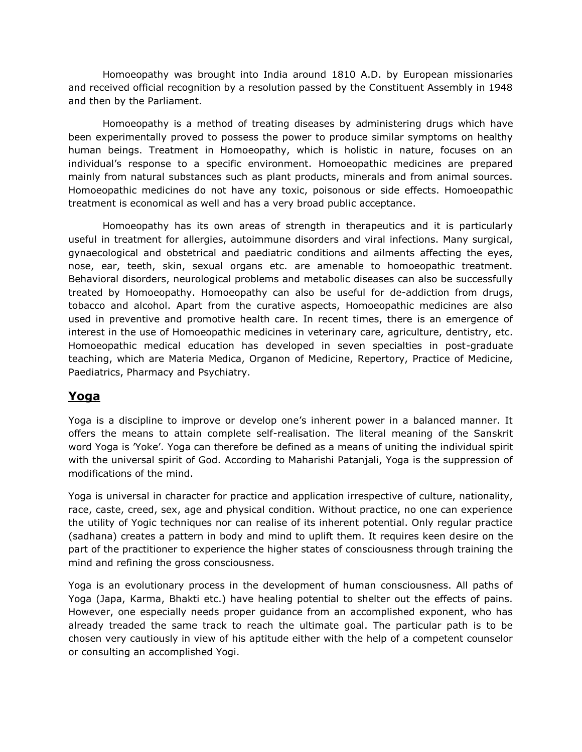Homoeopathy was brought into India around 1810 A.D. by European missionaries and received official recognition by a resolution passed by the Constituent Assembly in 1948 and then by the Parliament.

Homoeopathy is a method of treating diseases by administering drugs which have been experimentally proved to possess the power to produce similar symptoms on healthy human beings. Treatment in Homoeopathy, which is holistic in nature, focuses on an individual's response to a specific environment. Homoeopathic medicines are prepared mainly from natural substances such as plant products, minerals and from animal sources. Homoeopathic medicines do not have any toxic, poisonous or side effects. Homoeopathic treatment is economical as well and has a very broad public acceptance.

Homoeopathy has its own areas of strength in therapeutics and it is particularly useful in treatment for allergies, autoimmune disorders and viral infections. Many surgical, gynaecological and obstetrical and paediatric conditions and ailments affecting the eyes, nose, ear, teeth, skin, sexual organs etc. are amenable to homoeopathic treatment. Behavioral disorders, neurological problems and metabolic diseases can also be successfully treated by Homoeopathy. Homoeopathy can also be useful for de-addiction from drugs, tobacco and alcohol. Apart from the curative aspects, Homoeopathic medicines are also used in preventive and promotive health care. In recent times, there is an emergence of interest in the use of Homoeopathic medicines in veterinary care, agriculture, dentistry, etc. Homoeopathic medical education has developed in seven specialties in post-graduate teaching, which are Materia Medica, Organon of Medicine, Repertory, Practice of Medicine, Paediatrics, Pharmacy and Psychiatry.

# **Yoga**

Yoga is a discipline to improve or develop one's inherent power in a balanced manner. It offers the means to attain complete self-realisation. The literal meaning of the Sanskrit word Yoga is 'Yoke'. Yoga can therefore be defined as a means of uniting the individual spirit with the universal spirit of God. According to Maharishi Patanjali, Yoga is the suppression of modifications of the mind.

Yoga is universal in character for practice and application irrespective of culture, nationality, race, caste, creed, sex, age and physical condition. Without practice, no one can experience the utility of Yogic techniques nor can realise of its inherent potential. Only regular practice (sadhana) creates a pattern in body and mind to uplift them. It requires keen desire on the part of the practitioner to experience the higher states of consciousness through training the mind and refining the gross consciousness.

Yoga is an evolutionary process in the development of human consciousness. All paths of Yoga (Japa, Karma, Bhakti etc.) have healing potential to shelter out the effects of pains. However, one especially needs proper guidance from an accomplished exponent, who has already treaded the same track to reach the ultimate goal. The particular path is to be chosen very cautiously in view of his aptitude either with the help of a competent counselor or consulting an accomplished Yogi.